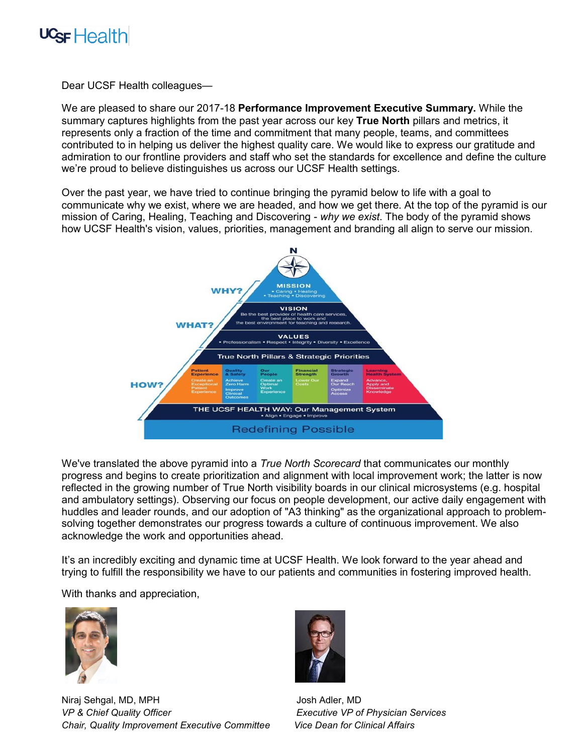

Dear UCSF Health colleagues—

We are pleased to share our 2017-18 **Performance Improvement Executive Summary.** While the summary captures highlights from the past year across our key **True North** pillars and metrics, it represents only a fraction of the time and commitment that many people, teams, and committees contributed to in helping us deliver the highest quality care. We would like to express our gratitude and admiration to our frontline providers and staff who set the standards for excellence and define the culture we're proud to believe distinguishes us across our UCSF Health settings.

Over the past year, we have tried to continue bringing the pyramid below to life with a goal to communicate why we exist, where we are headed, and how we get there. At the top of the pyramid is our mission of Caring, Healing, Teaching and Discovering - *why we exist*. The body of the pyramid shows how UCSF Health's vision, values, priorities, management and branding all align to serve our mission.



We've translated the above pyramid into a *True North Scorecard* that communicates our monthly progress and begins to create prioritization and alignment with local improvement work; the latter is now reflected in the growing number of True North visibility boards in our clinical microsystems (e.g. hospital and ambulatory settings). Observing our focus on people development, our active daily engagement with huddles and leader rounds, and our adoption of "A3 thinking" as the organizational approach to problemsolving together demonstrates our progress towards a culture of continuous improvement. We also acknowledge the work and opportunities ahead.

It's an incredibly exciting and dynamic time at UCSF Health. We look forward to the year ahead and trying to fulfill the responsibility we have to our patients and communities in fostering improved health.

With thanks and appreciation,



Niraj Sehgal, MD, MPH Josh Adler, MD *VP & Chief Quality Officer Executive VP of Physician Services Chair, Quality Improvement Executive Committee Vice Dean for Clinical Affairs*

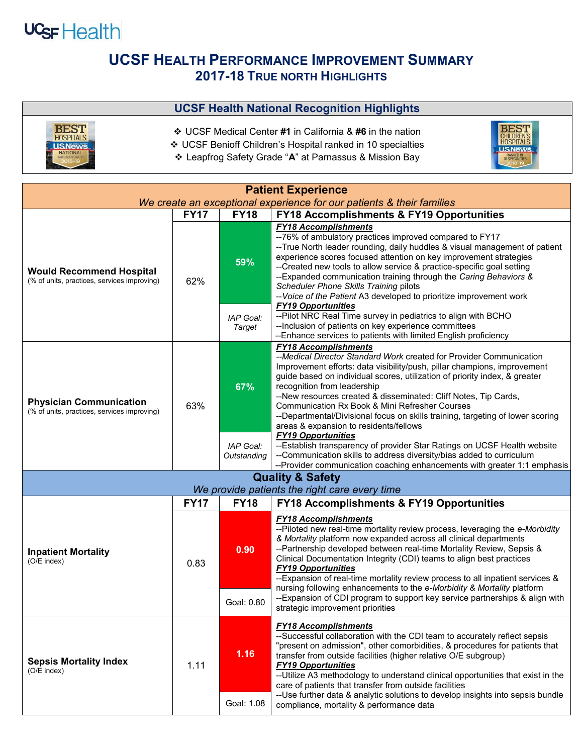

## **UCSF HEALTH PERFORMANCE IMPROVEMENT SUMMARY 2017-18 TRUE NORTH HIGHLIGHTS**

## **UCSF Health National Recognition Highlights**



- UCSF Medical Center **#1** in California & **#6** in the nation
- UCSF Benioff Children's Hospital ranked in 10 specialties
- Leapfrog Safety Grade "**A**" at Parnassus & Mission Bay



| <b>Patient Experience</b><br>We create an exceptional experience for our patients & their families |             |                            |                                                                                                                                                                                                                                                                                                                                                                                                                                                                                                                                                                                                         |  |  |  |
|----------------------------------------------------------------------------------------------------|-------------|----------------------------|---------------------------------------------------------------------------------------------------------------------------------------------------------------------------------------------------------------------------------------------------------------------------------------------------------------------------------------------------------------------------------------------------------------------------------------------------------------------------------------------------------------------------------------------------------------------------------------------------------|--|--|--|
|                                                                                                    | <b>FY17</b> | <b>FY18</b>                | <b>FY18 Accomplishments &amp; FY19 Opportunities</b>                                                                                                                                                                                                                                                                                                                                                                                                                                                                                                                                                    |  |  |  |
| <b>Would Recommend Hospital</b><br>(% of units, practices, services improving)                     | 62%         | 59%                        | <b>FY18 Accomplishments</b><br>--76% of ambulatory practices improved compared to FY17<br>--True North leader rounding, daily huddles & visual management of patient<br>experience scores focused attention on key improvement strategies<br>--Created new tools to allow service & practice-specific goal setting<br>--Expanded communication training through the Caring Behaviors &<br>Scheduler Phone Skills Training pilots<br>-- Voice of the Patient A3 developed to prioritize improvement work                                                                                                 |  |  |  |
|                                                                                                    |             | IAP Goal:<br><b>Target</b> | <b>FY19 Opportunities</b><br>--Pilot NRC Real Time survey in pediatrics to align with BCHO<br>--Inclusion of patients on key experience committees<br>--Enhance services to patients with limited English proficiency                                                                                                                                                                                                                                                                                                                                                                                   |  |  |  |
| <b>Physician Communication</b><br>(% of units, practices, services improving)                      | 63%         | 67%                        | <b>FY18 Accomplishments</b><br>--Medical Director Standard Work created for Provider Communication<br>Improvement efforts: data visibility/push, pillar champions, improvement<br>guide based on individual scores, utilization of priority index, & greater<br>recognition from leadership<br>--New resources created & disseminated: Cliff Notes, Tip Cards,<br>Communication Rx Book & Mini Refresher Courses<br>--Departmental/Divisional focus on skills training, targeting of lower scoring<br>areas & expansion to residents/fellows<br><b>FY19 Opportunities</b>                               |  |  |  |
|                                                                                                    |             | IAP Goal:<br>Outstanding   | --Establish transparency of provider Star Ratings on UCSF Health website<br>--Communication skills to address diversity/bias added to curriculum<br>--Provider communication coaching enhancements with greater 1:1 emphasis                                                                                                                                                                                                                                                                                                                                                                            |  |  |  |
| <b>Quality &amp; Safety</b><br>We provide patients the right care every time                       |             |                            |                                                                                                                                                                                                                                                                                                                                                                                                                                                                                                                                                                                                         |  |  |  |
|                                                                                                    | <b>FY17</b> | <b>FY18</b>                | <b>FY18 Accomplishments &amp; FY19 Opportunities</b>                                                                                                                                                                                                                                                                                                                                                                                                                                                                                                                                                    |  |  |  |
| <b>Inpatient Mortality</b><br>$(O/E$ index)                                                        | 0.83        | 0.90<br>Goal: 0.80         | <b>FY18 Accomplishments</b><br>--Piloted new real-time mortality review process, leveraging the e-Morbidity<br>& Mortality platform now expanded across all clinical departments<br>--Partnership developed between real-time Mortality Review, Sepsis &<br>Clinical Documentation Integrity (CDI) teams to align best practices<br><b>FY19 Opportunities</b><br>--Expansion of real-time mortality review process to all inpatient services &<br>nursing following enhancements to the e-Morbidity & Mortality platform<br>--Expansion of CDI program to support key service partnerships & align with |  |  |  |
| <b>Sepsis Mortality Index</b><br>(O/E index)                                                       | 1.11        | 1.16<br>Goal: 1.08         | strategic improvement priorities<br><b>FY18 Accomplishments</b><br>--Successful collaboration with the CDI team to accurately reflect sepsis<br>"present on admission", other comorbidities, & procedures for patients that<br>transfer from outside facilities (higher relative O/E subgroup)<br><b>FY19 Opportunities</b><br>-- Utilize A3 methodology to understand clinical opportunities that exist in the<br>care of patients that transfer from outside facilities<br>--Use further data & analytic solutions to develop insights into sepsis bundle<br>compliance, mortality & performance data |  |  |  |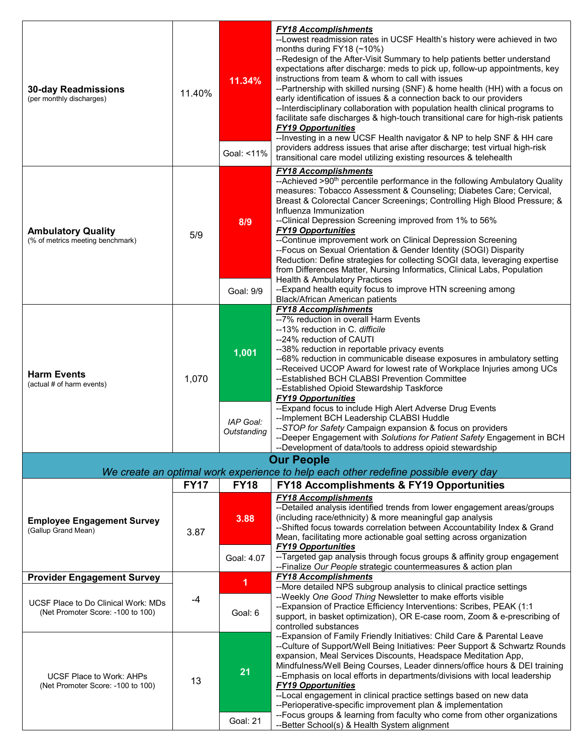| <b>30-day Readmissions</b><br>(per monthly discharges)                   | 11.40%      | 11.34%<br>Goal: <11%              | <b>FY18 Accomplishments</b><br>-- Lowest readmission rates in UCSF Health's history were achieved in two<br>months during FY18 (~10%)<br>--Redesign of the After-Visit Summary to help patients better understand<br>expectations after discharge: meds to pick up, follow-up appointments, key<br>instructions from team & whom to call with issues<br>--Partnership with skilled nursing (SNF) & home health (HH) with a focus on<br>early identification of issues & a connection back to our providers<br>-- Interdisciplinary collaboration with population health clinical programs to<br>facilitate safe discharges & high-touch transitional care for high-risk patients<br><b>FY19 Opportunities</b><br>--Investing in a new UCSF Health navigator & NP to help SNF & HH care<br>providers address issues that arise after discharge; test virtual high-risk<br>transitional care model utilizing existing resources & telehealth |
|--------------------------------------------------------------------------|-------------|-----------------------------------|--------------------------------------------------------------------------------------------------------------------------------------------------------------------------------------------------------------------------------------------------------------------------------------------------------------------------------------------------------------------------------------------------------------------------------------------------------------------------------------------------------------------------------------------------------------------------------------------------------------------------------------------------------------------------------------------------------------------------------------------------------------------------------------------------------------------------------------------------------------------------------------------------------------------------------------------|
| <b>Ambulatory Quality</b><br>(% of metrics meeting benchmark)            | 5/9         | 8/9<br>Goal: 9/9                  | <b>FY18 Accomplishments</b><br>--Achieved >90 <sup>th</sup> percentile performance in the following Ambulatory Quality<br>measures: Tobacco Assessment & Counseling; Diabetes Care; Cervical,<br>Breast & Colorectal Cancer Screenings; Controlling High Blood Pressure; &<br>Influenza Immunization<br>--Clinical Depression Screening improved from 1% to 56%<br><b>FY19 Opportunities</b><br>--Continue improvement work on Clinical Depression Screening<br>--Focus on Sexual Orientation & Gender Identity (SOGI) Disparity<br>Reduction: Define strategies for collecting SOGI data, leveraging expertise<br>from Differences Matter, Nursing Informatics, Clinical Labs, Population<br>Health & Ambulatory Practices<br>--Expand health equity focus to improve HTN screening among                                                                                                                                                 |
|                                                                          |             |                                   | Black/African American patients                                                                                                                                                                                                                                                                                                                                                                                                                                                                                                                                                                                                                                                                                                                                                                                                                                                                                                            |
| <b>Harm Events</b><br>(actual # of harm events)                          | 1,070       | 1,001<br>IAP Goal:<br>Outstanding | <b>FY18 Accomplishments</b><br>-- 7% reduction in overall Harm Events<br>--13% reduction in C. difficile<br>--24% reduction of CAUTI<br>--38% reduction in reportable privacy events<br>--68% reduction in communicable disease exposures in ambulatory setting<br>--Received UCOP Award for lowest rate of Workplace Injuries among UCs<br>--Established BCH CLABSI Prevention Committee<br>--Established Opioid Stewardship Taskforce<br><b>FY19 Opportunities</b><br>-- Expand focus to include High Alert Adverse Drug Events<br>-- Implement BCH Leadership CLABSI Huddle<br>--STOP for Safety Campaign expansion & focus on providers                                                                                                                                                                                                                                                                                                |
|                                                                          |             |                                   | --Deeper Engagement with Solutions for Patient Safety Engagement in BCH                                                                                                                                                                                                                                                                                                                                                                                                                                                                                                                                                                                                                                                                                                                                                                                                                                                                    |
|                                                                          |             |                                   | --Development of data/tools to address opioid stewardship<br><b>Our People</b>                                                                                                                                                                                                                                                                                                                                                                                                                                                                                                                                                                                                                                                                                                                                                                                                                                                             |
|                                                                          |             |                                   | We create an optimal work experience to help each other redefine possible every day                                                                                                                                                                                                                                                                                                                                                                                                                                                                                                                                                                                                                                                                                                                                                                                                                                                        |
|                                                                          | <b>FY17</b> | <b>FY18</b>                       | <b>FY18 Accomplishments &amp; FY19 Opportunities</b>                                                                                                                                                                                                                                                                                                                                                                                                                                                                                                                                                                                                                                                                                                                                                                                                                                                                                       |
| <b>Employee Engagement Survey</b><br>(Gallup Grand Mean)                 | 3.87        | 3.88<br>Goal: 4.07                | <b>FY18 Accomplishments</b><br>--Detailed analysis identified trends from lower engagement areas/groups<br>(including race/ethnicity) & more meaningful gap analysis<br>--Shifted focus towards correlation between Accountability Index & Grand<br>Mean, facilitating more actionable goal setting across organization<br><b>FY19 Opportunities</b><br>--Targeted gap analysis through focus groups & affinity group engagement                                                                                                                                                                                                                                                                                                                                                                                                                                                                                                           |
| <b>Provider Engagement Survey</b>                                        |             |                                   | -- Finalize Our People strategic countermeasures & action plan<br><b>FY18 Accomplishments</b>                                                                                                                                                                                                                                                                                                                                                                                                                                                                                                                                                                                                                                                                                                                                                                                                                                              |
| UCSF Place to Do Clinical Work: MDs<br>(Net Promoter Score: -100 to 100) | -4          | 1<br>Goal: 6                      | --More detailed NPS subgroup analysis to clinical practice settings<br>--Weekly One Good Thing Newsletter to make efforts visible<br>--Expansion of Practice Efficiency Interventions: Scribes, PEAK (1:1<br>support, in basket optimization), OR E-case room, Zoom & e-prescribing of<br>controlled substances                                                                                                                                                                                                                                                                                                                                                                                                                                                                                                                                                                                                                            |
| <b>UCSF Place to Work: AHPs</b><br>(Net Promoter Score: -100 to 100)     | 13          | 21<br><b>Goal: 21</b>             | --Expansion of Family Friendly Initiatives: Child Care & Parental Leave<br>--Culture of Support/Well Being Initiatives: Peer Support & Schwartz Rounds<br>expansion, Meal Services Discounts, Headspace Meditation App,<br>Mindfulness/Well Being Courses, Leader dinners/office hours & DEI training<br>--Emphasis on local efforts in departments/divisions with local leadership<br><b>FY19 Opportunities</b><br>--Local engagement in clinical practice settings based on new data<br>--Perioperative-specific improvement plan & implementation<br>--Focus groups & learning from faculty who come from other organizations<br>--Better School(s) & Health System alignment                                                                                                                                                                                                                                                           |